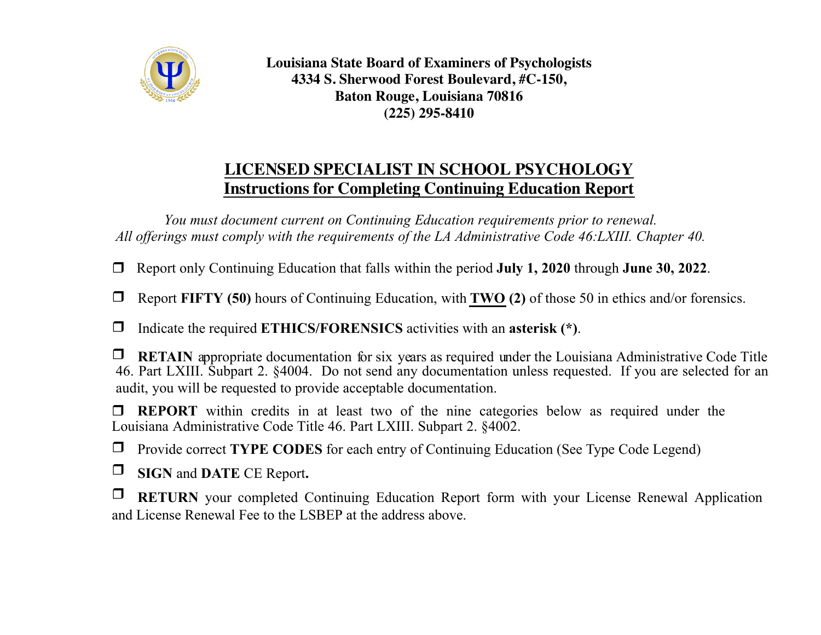

**Louisiana State Board of Examiners of Psychologists 4334 S. Sherwood Forest Boulevard, #C-150, Baton Rouge, Louisiana 70816 (225) 295-8410**

## **LICENSED SPECIALIST IN SCHOOL PSYCHOLOGY Instructions for Completing Continuing Education Report**

*You must document current on Continuing Education requirements prior to renewal. All offerings must comply with the requirements of the LA Administrative Code 46:LXIII. Chapter 40.* 

r Report only Continuing Education that falls within the period **July 1, 2020** through **June 30, 2022**.

r Report **FIFTY (50)** hours of Continuing Education, with **TWO (2)** of those 50 in ethics and/or forensics.

□ Indicate the required **ETHICS/FORENSICS** activities with an **asterisk** (\*).

 $\Box$  **RETAIN** appropriate documentation for six years as required under the Louisiana Administrative Code Title 46. Part LXIII. Subpart 2. §4004. Do not send any documentation unless requested. If you are selected for an audit, you will be requested to provide acceptable documentation.

**T REPORT** within credits in at least two of the nine categories below as required under the Louisiana Administrative Code Title 46. Part LXIII. Subpart 2. §4002.

**T** Provide correct **TYPE CODES** for each entry of Continuing Education (See Type Code Legend)

 $\Box$  **SIGN** and **DATE** CE Report.

**T** RETURN your completed Continuing Education Report form with your License Renewal Application and License Renewal Fee to the LSBEP at the address above.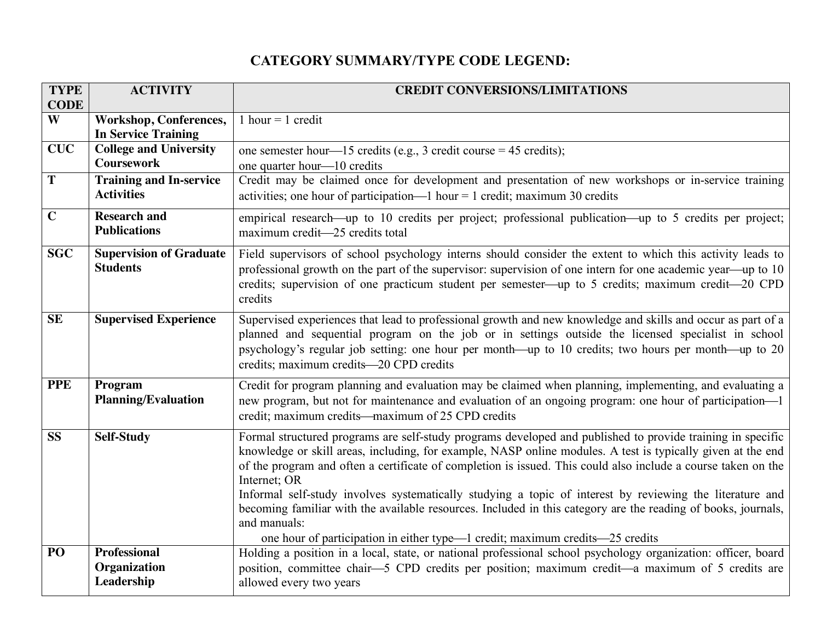## **CATEGORY SUMMARY/TYPE CODE LEGEND:**

| <b>TYPE</b>            | <b>ACTIVITY</b>                                             | <b>CREDIT CONVERSIONS/LIMITATIONS</b>                                                                                                                                                                                     |  |  |  |  |
|------------------------|-------------------------------------------------------------|---------------------------------------------------------------------------------------------------------------------------------------------------------------------------------------------------------------------------|--|--|--|--|
| <b>CODE</b>            |                                                             |                                                                                                                                                                                                                           |  |  |  |  |
| W                      | <b>Workshop, Conferences,</b><br><b>In Service Training</b> | 1 hour = 1 credit                                                                                                                                                                                                         |  |  |  |  |
| <b>CUC</b>             | <b>College and University</b>                               | one semester hour—15 credits (e.g., 3 credit course = 45 credits);                                                                                                                                                        |  |  |  |  |
|                        | <b>Coursework</b>                                           | one quarter hour—10 credits                                                                                                                                                                                               |  |  |  |  |
| T                      | <b>Training and In-service</b>                              | Credit may be claimed once for development and presentation of new workshops or in-service training                                                                                                                       |  |  |  |  |
|                        | <b>Activities</b>                                           | activities; one hour of participation—1 hour = 1 credit; maximum 30 credits                                                                                                                                               |  |  |  |  |
| $\mathbf C$            | <b>Research and</b>                                         | empirical research—up to 10 credits per project; professional publication—up to 5 credits per project;                                                                                                                    |  |  |  |  |
|                        | <b>Publications</b>                                         | maximum credit—25 credits total                                                                                                                                                                                           |  |  |  |  |
| <b>SGC</b>             | <b>Supervision of Graduate</b>                              | Field supervisors of school psychology interns should consider the extent to which this activity leads to                                                                                                                 |  |  |  |  |
|                        | <b>Students</b>                                             | professional growth on the part of the supervisor: supervision of one intern for one academic year—up to 10                                                                                                               |  |  |  |  |
|                        |                                                             | credits; supervision of one practicum student per semester—up to 5 credits; maximum credit—20 CPD                                                                                                                         |  |  |  |  |
|                        |                                                             | credits                                                                                                                                                                                                                   |  |  |  |  |
| <b>SE</b>              | <b>Supervised Experience</b>                                | Supervised experiences that lead to professional growth and new knowledge and skills and occur as part of a                                                                                                               |  |  |  |  |
|                        |                                                             | planned and sequential program on the job or in settings outside the licensed specialist in school<br>psychology's regular job setting: one hour per month—up to 10 credits; two hours per month—up to 20                 |  |  |  |  |
|                        |                                                             | credits; maximum credits-20 CPD credits                                                                                                                                                                                   |  |  |  |  |
| <b>PPE</b>             | Program                                                     | Credit for program planning and evaluation may be claimed when planning, implementing, and evaluating a                                                                                                                   |  |  |  |  |
|                        | <b>Planning/Evaluation</b>                                  | new program, but not for maintenance and evaluation of an ongoing program: one hour of participation-1                                                                                                                    |  |  |  |  |
|                        |                                                             | credit; maximum credits—maximum of 25 CPD credits                                                                                                                                                                         |  |  |  |  |
| $\overline{\text{SS}}$ | <b>Self-Study</b>                                           | Formal structured programs are self-study programs developed and published to provide training in specific                                                                                                                |  |  |  |  |
|                        |                                                             | knowledge or skill areas, including, for example, NASP online modules. A test is typically given at the end                                                                                                               |  |  |  |  |
|                        |                                                             | of the program and often a certificate of completion is issued. This could also include a course taken on the                                                                                                             |  |  |  |  |
|                        |                                                             | Internet; OR                                                                                                                                                                                                              |  |  |  |  |
|                        |                                                             | Informal self-study involves systematically studying a topic of interest by reviewing the literature and<br>becoming familiar with the available resources. Included in this category are the reading of books, journals, |  |  |  |  |
|                        |                                                             | and manuals:                                                                                                                                                                                                              |  |  |  |  |
|                        |                                                             | one hour of participation in either type—1 credit; maximum credits—25 credits                                                                                                                                             |  |  |  |  |
| PO                     | <b>Professional</b>                                         | Holding a position in a local, state, or national professional school psychology organization: officer, board                                                                                                             |  |  |  |  |
|                        | Organization                                                | position, committee chair—5 CPD credits per position; maximum credit—a maximum of 5 credits are                                                                                                                           |  |  |  |  |
|                        | Leadership                                                  | allowed every two years                                                                                                                                                                                                   |  |  |  |  |